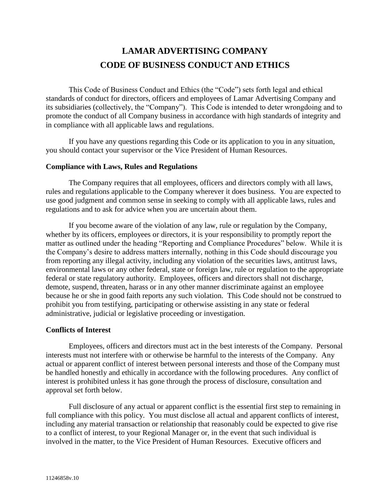# **LAMAR ADVERTISING COMPANY CODE OF BUSINESS CONDUCT AND ETHICS**

This Code of Business Conduct and Ethics (the "Code") sets forth legal and ethical standards of conduct for directors, officers and employees of Lamar Advertising Company and its subsidiaries (collectively, the "Company"). This Code is intended to deter wrongdoing and to promote the conduct of all Company business in accordance with high standards of integrity and in compliance with all applicable laws and regulations.

If you have any questions regarding this Code or its application to you in any situation, you should contact your supervisor or the Vice President of Human Resources.

#### **Compliance with Laws, Rules and Regulations**

The Company requires that all employees, officers and directors comply with all laws, rules and regulations applicable to the Company wherever it does business. You are expected to use good judgment and common sense in seeking to comply with all applicable laws, rules and regulations and to ask for advice when you are uncertain about them.

If you become aware of the violation of any law, rule or regulation by the Company, whether by its officers, employees or directors, it is your responsibility to promptly report the matter as outlined under the heading "Reporting and Compliance Procedures" below. While it is the Company's desire to address matters internally, nothing in this Code should discourage you from reporting any illegal activity, including any violation of the securities laws, antitrust laws, environmental laws or any other federal, state or foreign law, rule or regulation to the appropriate federal or state regulatory authority. Employees, officers and directors shall not discharge, demote, suspend, threaten, harass or in any other manner discriminate against an employee because he or she in good faith reports any such violation. This Code should not be construed to prohibit you from testifying, participating or otherwise assisting in any state or federal administrative, judicial or legislative proceeding or investigation.

#### **Conflicts of Interest**

Employees, officers and directors must act in the best interests of the Company. Personal interests must not interfere with or otherwise be harmful to the interests of the Company. Any actual or apparent conflict of interest between personal interests and those of the Company must be handled honestly and ethically in accordance with the following procedures. Any conflict of interest is prohibited unless it has gone through the process of disclosure, consultation and approval set forth below.

Full disclosure of any actual or apparent conflict is the essential first step to remaining in full compliance with this policy. You must disclose all actual and apparent conflicts of interest, including any material transaction or relationship that reasonably could be expected to give rise to a conflict of interest, to your Regional Manager or, in the event that such individual is involved in the matter, to the Vice President of Human Resources. Executive officers and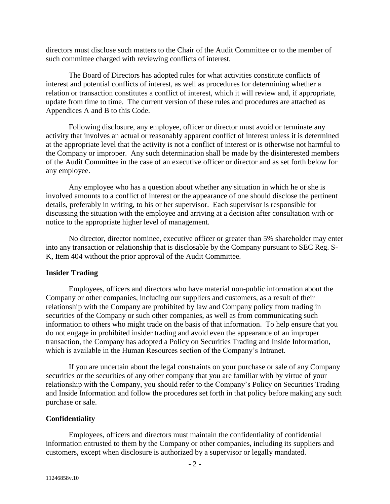directors must disclose such matters to the Chair of the Audit Committee or to the member of such committee charged with reviewing conflicts of interest.

The Board of Directors has adopted rules for what activities constitute conflicts of interest and potential conflicts of interest, as well as procedures for determining whether a relation or transaction constitutes a conflict of interest, which it will review and, if appropriate, update from time to time. The current version of these rules and procedures are attached as Appendices A and B to this Code.

Following disclosure, any employee, officer or director must avoid or terminate any activity that involves an actual or reasonably apparent conflict of interest unless it is determined at the appropriate level that the activity is not a conflict of interest or is otherwise not harmful to the Company or improper. Any such determination shall be made by the disinterested members of the Audit Committee in the case of an executive officer or director and as set forth below for any employee.

Any employee who has a question about whether any situation in which he or she is involved amounts to a conflict of interest or the appearance of one should disclose the pertinent details, preferably in writing, to his or her supervisor. Each supervisor is responsible for discussing the situation with the employee and arriving at a decision after consultation with or notice to the appropriate higher level of management.

No director, director nominee, executive officer or greater than 5% shareholder may enter into any transaction or relationship that is disclosable by the Company pursuant to SEC Reg. S-K, Item 404 without the prior approval of the Audit Committee.

#### **Insider Trading**

Employees, officers and directors who have material non-public information about the Company or other companies, including our suppliers and customers, as a result of their relationship with the Company are prohibited by law and Company policy from trading in securities of the Company or such other companies, as well as from communicating such information to others who might trade on the basis of that information. To help ensure that you do not engage in prohibited insider trading and avoid even the appearance of an improper transaction, the Company has adopted a Policy on Securities Trading and Inside Information, which is available in the Human Resources section of the Company's Intranet.

If you are uncertain about the legal constraints on your purchase or sale of any Company securities or the securities of any other company that you are familiar with by virtue of your relationship with the Company, you should refer to the Company's Policy on Securities Trading and Inside Information and follow the procedures set forth in that policy before making any such purchase or sale.

#### **Confidentiality**

Employees, officers and directors must maintain the confidentiality of confidential information entrusted to them by the Company or other companies, including its suppliers and customers, except when disclosure is authorized by a supervisor or legally mandated.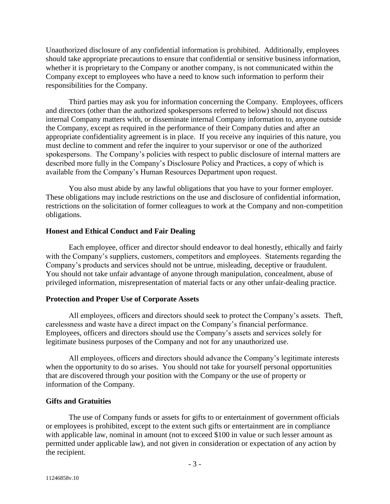Unauthorized disclosure of any confidential information is prohibited. Additionally, employees should take appropriate precautions to ensure that confidential or sensitive business information, whether it is proprietary to the Company or another company, is not communicated within the Company except to employees who have a need to know such information to perform their responsibilities for the Company.

Third parties may ask you for information concerning the Company. Employees, officers and directors (other than the authorized spokespersons referred to below) should not discuss internal Company matters with, or disseminate internal Company information to, anyone outside the Company, except as required in the performance of their Company duties and after an appropriate confidentiality agreement is in place. If you receive any inquiries of this nature, you must decline to comment and refer the inquirer to your supervisor or one of the authorized spokespersons. The Company's policies with respect to public disclosure of internal matters are described more fully in the Company's Disclosure Policy and Practices, a copy of which is available from the Company's Human Resources Department upon request.

You also must abide by any lawful obligations that you have to your former employer. These obligations may include restrictions on the use and disclosure of confidential information, restrictions on the solicitation of former colleagues to work at the Company and non-competition obligations.

#### **Honest and Ethical Conduct and Fair Dealing**

Each employee, officer and director should endeavor to deal honestly, ethically and fairly with the Company's suppliers, customers, competitors and employees. Statements regarding the Company's products and services should not be untrue, misleading, deceptive or fraudulent. You should not take unfair advantage of anyone through manipulation, concealment, abuse of privileged information, misrepresentation of material facts or any other unfair-dealing practice.

#### **Protection and Proper Use of Corporate Assets**

All employees, officers and directors should seek to protect the Company's assets. Theft, carelessness and waste have a direct impact on the Company's financial performance. Employees, officers and directors should use the Company's assets and services solely for legitimate business purposes of the Company and not for any unauthorized use.

All employees, officers and directors should advance the Company's legitimate interests when the opportunity to do so arises. You should not take for yourself personal opportunities that are discovered through your position with the Company or the use of property or information of the Company.

#### **Gifts and Gratuities**

The use of Company funds or assets for gifts to or entertainment of government officials or employees is prohibited, except to the extent such gifts or entertainment are in compliance with applicable law, nominal in amount (not to exceed \$100 in value or such lesser amount as permitted under applicable law), and not given in consideration or expectation of any action by the recipient.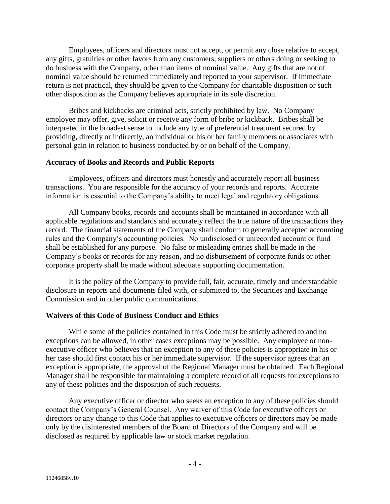Employees, officers and directors must not accept, or permit any close relative to accept, any gifts, gratuities or other favors from any customers, suppliers or others doing or seeking to do business with the Company, other than items of nominal value. Any gifts that are not of nominal value should be returned immediately and reported to your supervisor. If immediate return is not practical, they should be given to the Company for charitable disposition or such other disposition as the Company believes appropriate in its sole discretion.

Bribes and kickbacks are criminal acts, strictly prohibited by law. No Company employee may offer, give, solicit or receive any form of bribe or kickback. Bribes shall be interpreted in the broadest sense to include any type of preferential treatment secured by providing, directly or indirectly, an individual or his or her family members or associates with personal gain in relation to business conducted by or on behalf of the Company.

#### **Accuracy of Books and Records and Public Reports**

Employees, officers and directors must honestly and accurately report all business transactions. You are responsible for the accuracy of your records and reports. Accurate information is essential to the Company's ability to meet legal and regulatory obligations.

All Company books, records and accounts shall be maintained in accordance with all applicable regulations and standards and accurately reflect the true nature of the transactions they record. The financial statements of the Company shall conform to generally accepted accounting rules and the Company's accounting policies. No undisclosed or unrecorded account or fund shall be established for any purpose. No false or misleading entries shall be made in the Company's books or records for any reason, and no disbursement of corporate funds or other corporate property shall be made without adequate supporting documentation.

It is the policy of the Company to provide full, fair, accurate, timely and understandable disclosure in reports and documents filed with, or submitted to, the Securities and Exchange Commission and in other public communications.

#### **Waivers of this Code of Business Conduct and Ethics**

While some of the policies contained in this Code must be strictly adhered to and no exceptions can be allowed, in other cases exceptions may be possible. Any employee or nonexecutive officer who believes that an exception to any of these policies is appropriate in his or her case should first contact his or her immediate supervisor. If the supervisor agrees that an exception is appropriate, the approval of the Regional Manager must be obtained. Each Regional Manager shall be responsible for maintaining a complete record of all requests for exceptions to any of these policies and the disposition of such requests.

Any executive officer or director who seeks an exception to any of these policies should contact the Company's General Counsel. Any waiver of this Code for executive officers or directors or any change to this Code that applies to executive officers or directors may be made only by the disinterested members of the Board of Directors of the Company and will be disclosed as required by applicable law or stock market regulation.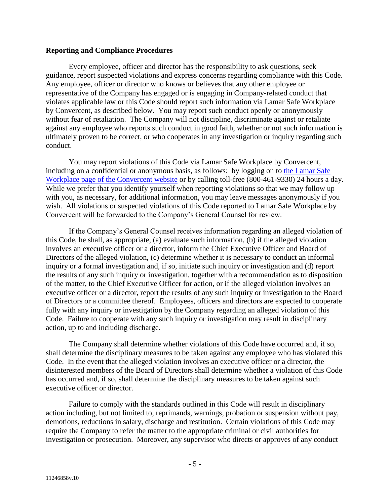#### **Reporting and Compliance Procedures**

Every employee, officer and director has the responsibility to ask questions, seek guidance, report suspected violations and express concerns regarding compliance with this Code. Any employee, officer or director who knows or believes that any other employee or representative of the Company has engaged or is engaging in Company-related conduct that violates applicable law or this Code should report such information via Lamar Safe Workplace by Convercent, as described below. You may report such conduct openly or anonymously without fear of retaliation. The Company will not discipline, discriminate against or retaliate against any employee who reports such conduct in good faith, whether or not such information is ultimately proven to be correct, or who cooperates in any investigation or inquiry regarding such conduct.

You may report violations of this Code via Lamar Safe Workplace by Convercent, including on a confidential or anonymous basis, as follows: by logging on to [the Lamar Safe](https://app.convercent.com/en-US/LandingPage/f2402ab4-fd30-ec11-a985-000d3ab9f062)  [Workplace page of the Convercent website](https://app.convercent.com/en-US/LandingPage/f2402ab4-fd30-ec11-a985-000d3ab9f062) or by calling toll-free (800-461-9330) 24 hours a day. While we prefer that you identify yourself when reporting violations so that we may follow up with you, as necessary, for additional information, you may leave messages anonymously if you wish. All violations or suspected violations of this Code reported to Lamar Safe Workplace by Convercent will be forwarded to the Company's General Counsel for review.

If the Company's General Counsel receives information regarding an alleged violation of this Code, he shall, as appropriate, (a) evaluate such information, (b) if the alleged violation involves an executive officer or a director, inform the Chief Executive Officer and Board of Directors of the alleged violation, (c) determine whether it is necessary to conduct an informal inquiry or a formal investigation and, if so, initiate such inquiry or investigation and (d) report the results of any such inquiry or investigation, together with a recommendation as to disposition of the matter, to the Chief Executive Officer for action, or if the alleged violation involves an executive officer or a director, report the results of any such inquiry or investigation to the Board of Directors or a committee thereof. Employees, officers and directors are expected to cooperate fully with any inquiry or investigation by the Company regarding an alleged violation of this Code. Failure to cooperate with any such inquiry or investigation may result in disciplinary action, up to and including discharge.

The Company shall determine whether violations of this Code have occurred and, if so, shall determine the disciplinary measures to be taken against any employee who has violated this Code. In the event that the alleged violation involves an executive officer or a director, the disinterested members of the Board of Directors shall determine whether a violation of this Code has occurred and, if so, shall determine the disciplinary measures to be taken against such executive officer or director.

Failure to comply with the standards outlined in this Code will result in disciplinary action including, but not limited to, reprimands, warnings, probation or suspension without pay, demotions, reductions in salary, discharge and restitution. Certain violations of this Code may require the Company to refer the matter to the appropriate criminal or civil authorities for investigation or prosecution. Moreover, any supervisor who directs or approves of any conduct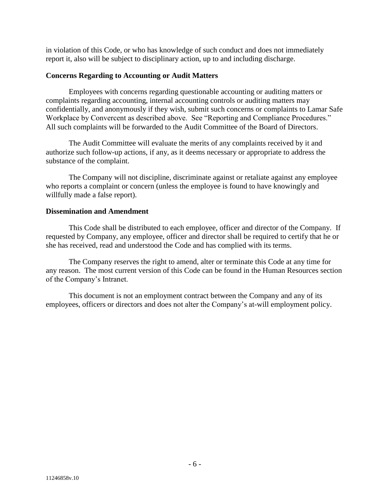in violation of this Code, or who has knowledge of such conduct and does not immediately report it, also will be subject to disciplinary action, up to and including discharge.

# **Concerns Regarding to Accounting or Audit Matters**

Employees with concerns regarding questionable accounting or auditing matters or complaints regarding accounting, internal accounting controls or auditing matters may confidentially, and anonymously if they wish, submit such concerns or complaints to Lamar Safe Workplace by Convercent as described above. See "Reporting and Compliance Procedures." All such complaints will be forwarded to the Audit Committee of the Board of Directors.

The Audit Committee will evaluate the merits of any complaints received by it and authorize such follow-up actions, if any, as it deems necessary or appropriate to address the substance of the complaint.

The Company will not discipline, discriminate against or retaliate against any employee who reports a complaint or concern (unless the employee is found to have knowingly and willfully made a false report).

#### **Dissemination and Amendment**

This Code shall be distributed to each employee, officer and director of the Company. If requested by Company, any employee, officer and director shall be required to certify that he or she has received, read and understood the Code and has complied with its terms.

The Company reserves the right to amend, alter or terminate this Code at any time for any reason. The most current version of this Code can be found in the Human Resources section of the Company's Intranet.

This document is not an employment contract between the Company and any of its employees, officers or directors and does not alter the Company's at-will employment policy.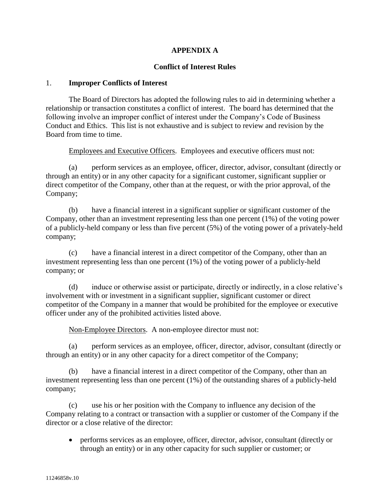# **APPENDIX A**

#### **Conflict of Interest Rules**

#### 1. **Improper Conflicts of Interest**

The Board of Directors has adopted the following rules to aid in determining whether a relationship or transaction constitutes a conflict of interest. The board has determined that the following involve an improper conflict of interest under the Company's Code of Business Conduct and Ethics. This list is not exhaustive and is subject to review and revision by the Board from time to time.

Employees and Executive Officers. Employees and executive officers must not:

(a) perform services as an employee, officer, director, advisor, consultant (directly or through an entity) or in any other capacity for a significant customer, significant supplier or direct competitor of the Company, other than at the request, or with the prior approval, of the Company;

(b) have a financial interest in a significant supplier or significant customer of the Company, other than an investment representing less than one percent (1%) of the voting power of a publicly-held company or less than five percent (5%) of the voting power of a privately-held company;

(c) have a financial interest in a direct competitor of the Company, other than an investment representing less than one percent (1%) of the voting power of a publicly-held company; or

(d) induce or otherwise assist or participate, directly or indirectly, in a close relative's involvement with or investment in a significant supplier, significant customer or direct competitor of the Company in a manner that would be prohibited for the employee or executive officer under any of the prohibited activities listed above.

Non-Employee Directors. A non-employee director must not:

(a) perform services as an employee, officer, director, advisor, consultant (directly or through an entity) or in any other capacity for a direct competitor of the Company;

(b) have a financial interest in a direct competitor of the Company, other than an investment representing less than one percent (1%) of the outstanding shares of a publicly-held company;

(c) use his or her position with the Company to influence any decision of the Company relating to a contract or transaction with a supplier or customer of the Company if the director or a close relative of the director:

 performs services as an employee, officer, director, advisor, consultant (directly or through an entity) or in any other capacity for such supplier or customer; or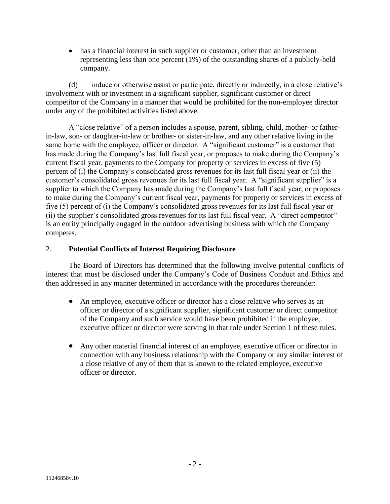has a financial interest in such supplier or customer, other than an investment representing less than one percent (1%) of the outstanding shares of a publicly-held company.

(d) induce or otherwise assist or participate, directly or indirectly, in a close relative's involvement with or investment in a significant supplier, significant customer or direct competitor of the Company in a manner that would be prohibited for the non-employee director under any of the prohibited activities listed above.

A "close relative" of a person includes a spouse, parent, sibling, child, mother- or fatherin-law, son- or daughter-in-law or brother- or sister-in-law, and any other relative living in the same home with the employee, officer or director. A "significant customer" is a customer that has made during the Company's last full fiscal year, or proposes to make during the Company's current fiscal year, payments to the Company for property or services in excess of five (5) percent of (i) the Company's consolidated gross revenues for its last full fiscal year or (ii) the customer's consolidated gross revenues for its last full fiscal year. A "significant supplier" is a supplier to which the Company has made during the Company's last full fiscal year, or proposes to make during the Company's current fiscal year, payments for property or services in excess of five (5) percent of (i) the Company's consolidated gross revenues for its last full fiscal year or (ii) the supplier's consolidated gross revenues for its last full fiscal year. A "direct competitor" is an entity principally engaged in the outdoor advertising business with which the Company competes.

# 2. **Potential Conflicts of Interest Requiring Disclosure**

The Board of Directors has determined that the following involve potential conflicts of interest that must be disclosed under the Company's Code of Business Conduct and Ethics and then addressed in any manner determined in accordance with the procedures thereunder:

- An employee, executive officer or director has a close relative who serves as an officer or director of a significant supplier, significant customer or direct competitor of the Company and such service would have been prohibited if the employee, executive officer or director were serving in that role under Section 1 of these rules.
- Any other material financial interest of an employee, executive officer or director in connection with any business relationship with the Company or any similar interest of a close relative of any of them that is known to the related employee, executive officer or director.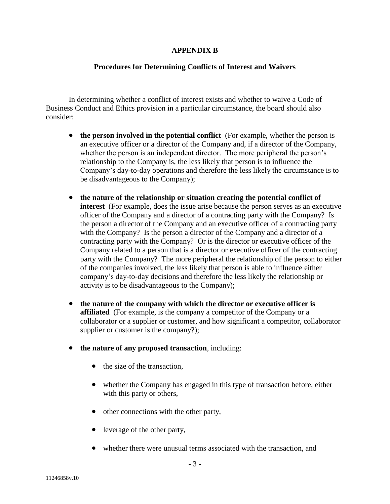### **APPENDIX B**

# **Procedures for Determining Conflicts of Interest and Waivers**

In determining whether a conflict of interest exists and whether to waive a Code of Business Conduct and Ethics provision in a particular circumstance, the board should also consider:

- **the person involved in the potential conflict** (For example, whether the person is an executive officer or a director of the Company and, if a director of the Company, whether the person is an independent director. The more peripheral the person's relationship to the Company is, the less likely that person is to influence the Company's day-to-day operations and therefore the less likely the circumstance is to be disadvantageous to the Company);
- **the nature of the relationship or situation creating the potential conflict of interest** (For example, does the issue arise because the person serves as an executive officer of the Company and a director of a contracting party with the Company? Is the person a director of the Company and an executive officer of a contracting party with the Company? Is the person a director of the Company and a director of a contracting party with the Company? Or is the director or executive officer of the Company related to a person that is a director or executive officer of the contracting party with the Company? The more peripheral the relationship of the person to either of the companies involved, the less likely that person is able to influence either company's day-to-day decisions and therefore the less likely the relationship or activity is to be disadvantageous to the Company);
- **the nature of the company with which the director or executive officer is affiliated** (For example, is the company a competitor of the Company or a collaborator or a supplier or customer, and how significant a competitor, collaborator supplier or customer is the company?);
- **the nature of any proposed transaction**, including:
	- $\bullet$  the size of the transaction.
	- whether the Company has engaged in this type of transaction before, either with this party or others,
	- other connections with the other party,
	- leverage of the other party,
	- whether there were unusual terms associated with the transaction, and